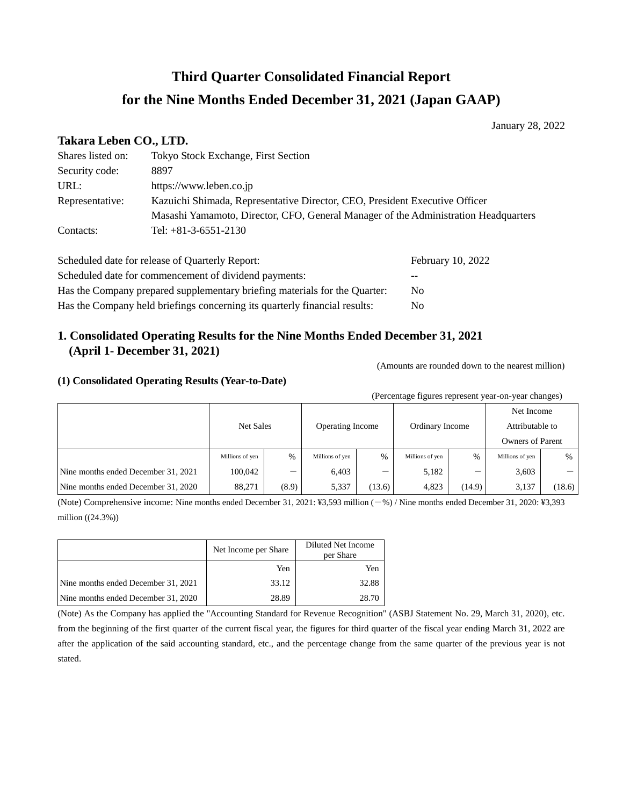# **Third Quarter Consolidated Financial Report for the Nine Months Ended December 31, 2021 (Japan GAAP)**

January 28, 2022

## **Takara Leben CO., LTD.**

| Shares listed on: | <b>Tokyo Stock Exchange, First Section</b>                                          |
|-------------------|-------------------------------------------------------------------------------------|
| Security code:    | 8897                                                                                |
| URL:              | https://www.leben.co.jp                                                             |
| Representative:   | Kazuichi Shimada, Representative Director, CEO, President Executive Officer         |
|                   | Masashi Yamamoto, Director, CFO, General Manager of the Administration Headquarters |
| Contacts:         | Tel: $+81-3-6551-2130$                                                              |

| Scheduled date for release of Quarterly Report:                            | February 10, 2022 |
|----------------------------------------------------------------------------|-------------------|
| Scheduled date for commencement of dividend payments:                      | --                |
| Has the Company prepared supplementary briefing materials for the Quarter: | No.               |
| Has the Company held briefings concerning its quarterly financial results: | No.               |

# **1. Consolidated Operating Results for the Nine Months Ended December 31, 2021 (April 1- December 31, 2021)**

(Amounts are rounded down to the nearest million)

## **(1) Consolidated Operating Results (Year-to-Date)**

(Percentage figures represent year-on-year changes)

|                                     | Net Sales       |       | <b>Operating Income</b> |        | Ordinary Income |        | Net Income              |        |  |
|-------------------------------------|-----------------|-------|-------------------------|--------|-----------------|--------|-------------------------|--------|--|
|                                     |                 |       |                         |        |                 |        | Attributable to         |        |  |
|                                     |                 |       |                         |        |                 |        | <b>Owners of Parent</b> |        |  |
|                                     | Millions of yen | %     | Millions of yen         | %      | Millions of yen | $\%$   | Millions of yen         | %      |  |
| Nine months ended December 31, 2021 | 100.042         | _     | 6,403                   | _      | 5,182           | _      | 3,603                   |        |  |
| Nine months ended December 31, 2020 | 88,271          | (8.9) | 5,337                   | (13.6) | 4,823           | (14.9) | 3,137                   | (18.6) |  |

(Note) Comprehensive income: Nine months ended December 31, 2021: ¥3,593 million (-%) / Nine months ended December 31, 2020: ¥3,393 million ((24.3%))

|                                     | Net Income per Share | Diluted Net Income<br>per Share |  |  |
|-------------------------------------|----------------------|---------------------------------|--|--|
|                                     | Yen                  | Yen                             |  |  |
| Nine months ended December 31, 2021 | 33.12                | 32.88                           |  |  |
| Nine months ended December 31, 2020 | 28.89                | 28.70                           |  |  |

(Note) As the Company has applied the "Accounting Standard for Revenue Recognition" (ASBJ Statement No. 29, March 31, 2020), etc. from the beginning of the first quarter of the current fiscal year, the figures for third quarter of the fiscal year ending March 31, 2022 are after the application of the said accounting standard, etc., and the percentage change from the same quarter of the previous year is not stated.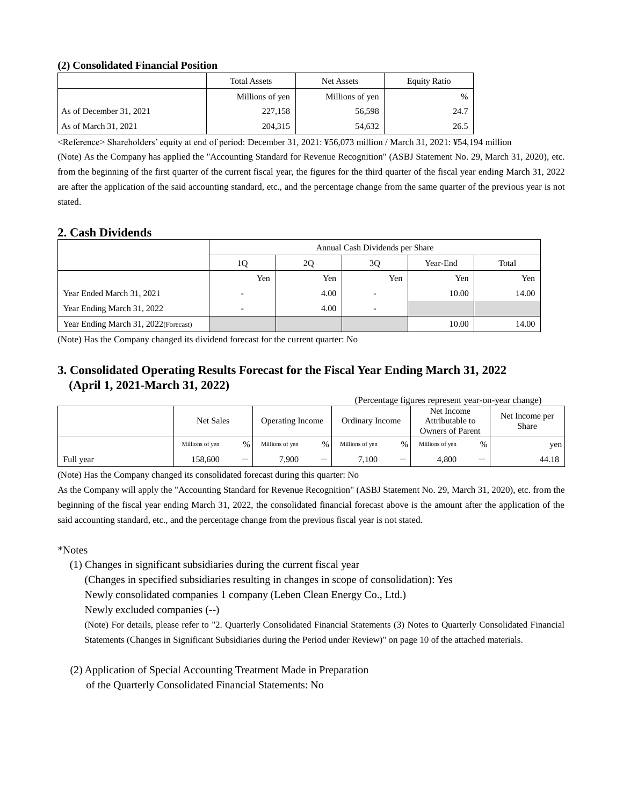## **(2) Consolidated Financial Position**

|                         | <b>Total Assets</b> | Net Assets      | <b>Equity Ratio</b> |
|-------------------------|---------------------|-----------------|---------------------|
|                         | Millions of yen     | Millions of yen | %                   |
| As of December 31, 2021 | 227,158             | 56,598          | 24.7                |
| As of March 31, 2021    | 204.315             | 54,632          | 26.5                |

<Reference> Shareholders' equity at end of period: December 31, 2021: ¥56,073 million / March 31, 2021: ¥54,194 million

(Note) As the Company has applied the "Accounting Standard for Revenue Recognition" (ASBJ Statement No. 29, March 31, 2020), etc. from the beginning of the first quarter of the current fiscal year, the figures for the third quarter of the fiscal year ending March 31, 2022 are after the application of the said accounting standard, etc., and the percentage change from the same quarter of the previous year is not stated.

# **2. Cash Dividends**

|                                      |                          | Annual Cash Dividends per Share |     |       |       |  |  |  |
|--------------------------------------|--------------------------|---------------------------------|-----|-------|-------|--|--|--|
|                                      | 1Q                       | Total<br>2Q<br>3Q<br>Year-End   |     |       |       |  |  |  |
|                                      | Yen                      | Yen                             | Yen | Yen   | Yen   |  |  |  |
| Year Ended March 31, 2021            |                          | 4.00                            |     | 10.00 | 14.00 |  |  |  |
| Year Ending March 31, 2022           | $\overline{\phantom{0}}$ | 4.00                            |     |       |       |  |  |  |
| Year Ending March 31, 2022(Forecast) |                          |                                 |     | 10.00 | 14.00 |  |  |  |

(Note) Has the Company changed its dividend forecast for the current quarter: No

# **3. Consolidated Operating Results Forecast for the Fiscal Year Ending March 31, 2022 (April 1, 2021-March 31, 2022)**

| (Percentage figures represent year-on-year change) |                 |      |                         |      |                 |                          |                                                   |   |                         |
|----------------------------------------------------|-----------------|------|-------------------------|------|-----------------|--------------------------|---------------------------------------------------|---|-------------------------|
|                                                    | Net Sales       |      | <b>Operating Income</b> |      | Ordinary Income |                          | Net Income<br>Attributable to<br>Owners of Parent |   | Net Income per<br>Share |
|                                                    | Millions of yen | $\%$ | Millions of yen         | $\%$ | Millions of yen | $\%$                     | Millions of yen                                   | % | yen                     |
| Full year                                          | 158.600         | _    | 7.900                   | -    | 7.100           | $\overline{\phantom{a}}$ | 4.800                                             | - | 44.18                   |

(Note) Has the Company changed its consolidated forecast during this quarter: No

As the Company will apply the "Accounting Standard for Revenue Recognition" (ASBJ Statement No. 29, March 31, 2020), etc. from the beginning of the fiscal year ending March 31, 2022, the consolidated financial forecast above is the amount after the application of the said accounting standard, etc., and the percentage change from the previous fiscal year is not stated.

\*Notes

(1) Changes in significant subsidiaries during the current fiscal year

(Changes in specified subsidiaries resulting in changes in scope of consolidation): Yes

Newly consolidated companies 1 company (Leben Clean Energy Co., Ltd.)

Newly excluded companies (--)

(Note) For details, please refer to "2. Quarterly Consolidated Financial Statements (3) Notes to Quarterly Consolidated Financial Statements (Changes in Significant Subsidiaries during the Period under Review)" on page 10 of the attached materials.

(2) Application of Special Accounting Treatment Made in Preparation of the Quarterly Consolidated Financial Statements: No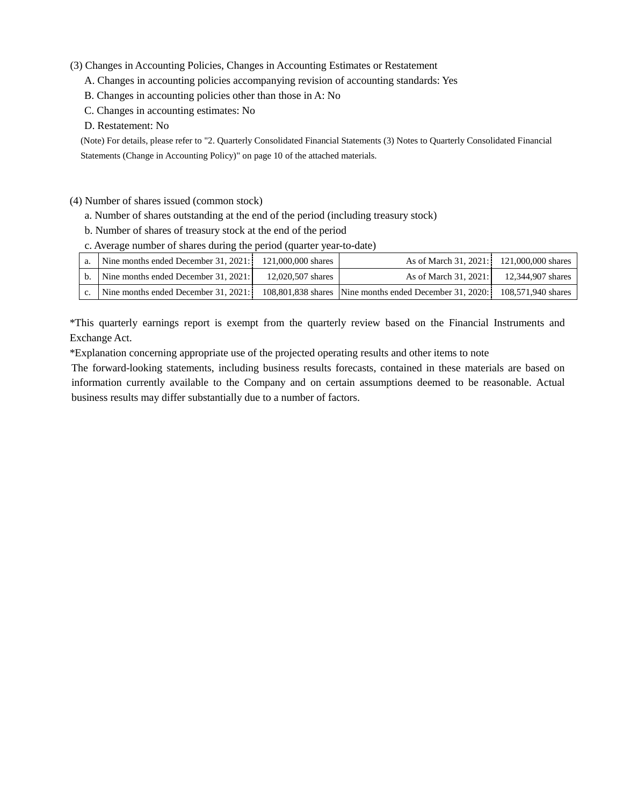## (3) Changes in Accounting Policies, Changes in Accounting Estimates or Restatement

A. Changes in accounting policies accompanying revision of accounting standards: Yes

B. Changes in accounting policies other than those in A: No

C. Changes in accounting estimates: No

D. Restatement: No

(Note) For details, please refer to "2. Quarterly Consolidated Financial Statements (3) Notes to Quarterly Consolidated Financial Statements (Change in Accounting Policy)" on page 10 of the attached materials.

#### (4) Number of shares issued (common stock)

- a. Number of shares outstanding at the end of the period (including treasury stock)
- b. Number of shares of treasury stock at the end of the period
- c. Average number of shares during the period (quarter year-to-date)

| a. | Nine months ended December 31, $2021$ : 121,000,000 shares |                   | As of March 31, 2021: 121,000,000 shares                |                    |
|----|------------------------------------------------------------|-------------------|---------------------------------------------------------|--------------------|
|    | Nine months ended December 31, 2021:                       | 12,020,507 shares | As of March 31, 2021:                                   | 12.344.907 shares  |
|    | Nine months ended December 31, 2021:                       |                   | 108,801,838 shares Nine months ended December 31, 2020: | 108,571,940 shares |

\*This quarterly earnings report is exempt from the quarterly review based on the Financial Instruments and Exchange Act.

\*Explanation concerning appropriate use of the projected operating results and other items to note

The forward-looking statements, including business results forecasts, contained in these materials are based on information currently available to the Company and on certain assumptions deemed to be reasonable. Actual business results may differ substantially due to a number of factors.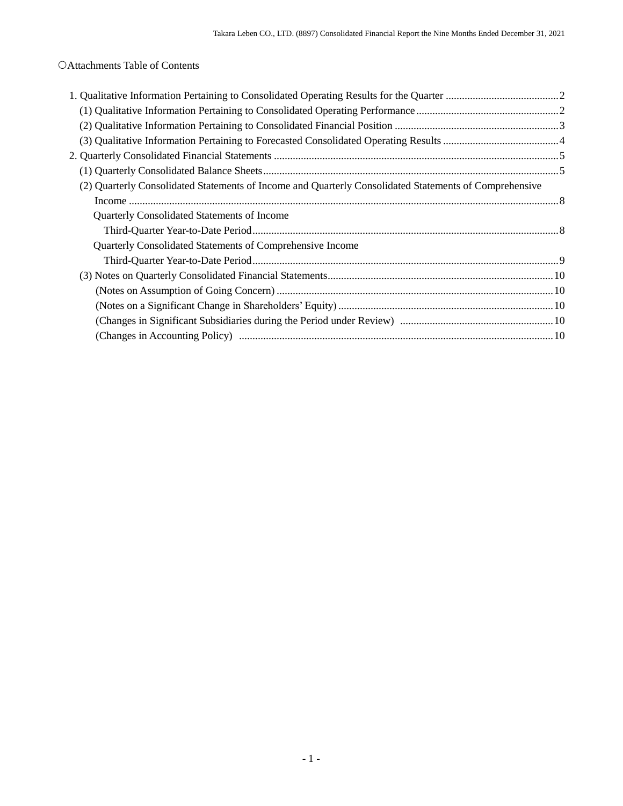Attachments Table of Contents

| (2) Quarterly Consolidated Statements of Income and Quarterly Consolidated Statements of Comprehensive |  |
|--------------------------------------------------------------------------------------------------------|--|
|                                                                                                        |  |
| Quarterly Consolidated Statements of Income                                                            |  |
|                                                                                                        |  |
| Quarterly Consolidated Statements of Comprehensive Income                                              |  |
|                                                                                                        |  |
|                                                                                                        |  |
|                                                                                                        |  |
|                                                                                                        |  |
|                                                                                                        |  |
|                                                                                                        |  |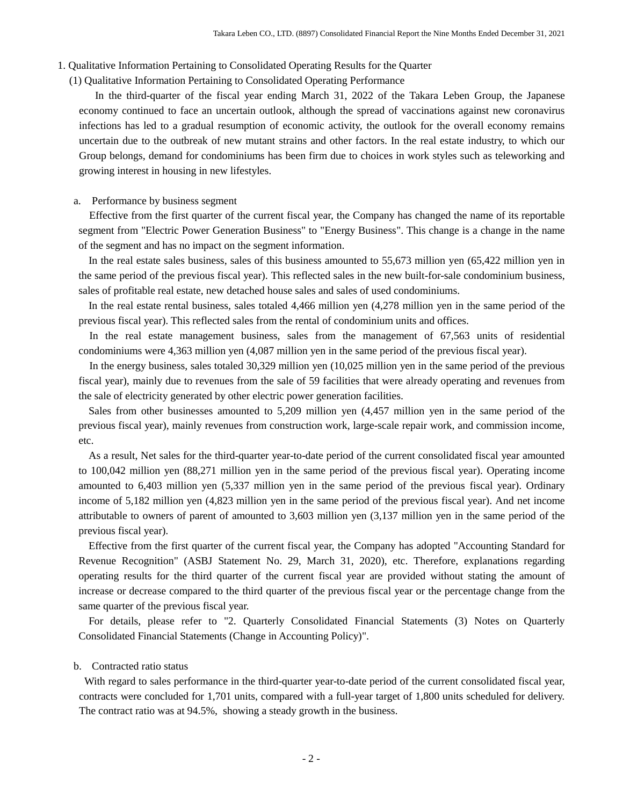1. Qualitative Information Pertaining to Consolidated Operating Results for the Quarter

(1) Qualitative Information Pertaining to Consolidated Operating Performance

 In the third-quarter of the fiscal year ending March 31, 2022 of the Takara Leben Group, the Japanese economy continued to face an uncertain outlook, although the spread of vaccinations against new coronavirus infections has led to a gradual resumption of economic activity, the outlook for the overall economy remains uncertain due to the outbreak of new mutant strains and other factors. In the real estate industry, to which our Group belongs, demand for condominiums has been firm due to choices in work styles such as teleworking and growing interest in housing in new lifestyles.

#### a. Performance by business segment

Effective from the first quarter of the current fiscal year, the Company has changed the name of its reportable segment from "Electric Power Generation Business" to "Energy Business". This change is a change in the name of the segment and has no impact on the segment information.

In the real estate sales business, sales of this business amounted to 55,673 million yen (65,422 million yen in the same period of the previous fiscal year). This reflected sales in the new built-for-sale condominium business, sales of profitable real estate, new detached house sales and sales of used condominiums.

In the real estate rental business, sales totaled 4,466 million yen (4,278 million yen in the same period of the previous fiscal year). This reflected sales from the rental of condominium units and offices.

 In the real estate management business, sales from the management of 67,563 units of residential condominiums were 4,363 million yen (4,087 million yen in the same period of the previous fiscal year).

In the energy business, sales totaled 30,329 million yen (10,025 million yen in the same period of the previous fiscal year), mainly due to revenues from the sale of 59 facilities that were already operating and revenues from the sale of electricity generated by other electric power generation facilities.

Sales from other businesses amounted to 5,209 million yen (4,457 million yen in the same period of the previous fiscal year), mainly revenues from construction work, large-scale repair work, and commission income, etc.

As a result, Net sales for the third-quarter year-to-date period of the current consolidated fiscal year amounted to 100,042 million yen (88,271 million yen in the same period of the previous fiscal year). Operating income amounted to 6,403 million yen (5,337 million yen in the same period of the previous fiscal year). Ordinary income of 5,182 million yen (4,823 million yen in the same period of the previous fiscal year). And net income attributable to owners of parent of amounted to 3,603 million yen (3,137 million yen in the same period of the previous fiscal year).

Effective from the first quarter of the current fiscal year, the Company has adopted "Accounting Standard for Revenue Recognition" (ASBJ Statement No. 29, March 31, 2020), etc. Therefore, explanations regarding operating results for the third quarter of the current fiscal year are provided without stating the amount of increase or decrease compared to the third quarter of the previous fiscal year or the percentage change from the same quarter of the previous fiscal year.

For details, please refer to "2. Quarterly Consolidated Financial Statements (3) Notes on Quarterly Consolidated Financial Statements (Change in Accounting Policy)".

#### b. Contracted ratio status

With regard to sales performance in the third-quarter year-to-date period of the current consolidated fiscal year, contracts were concluded for 1,701 units, compared with a full-year target of 1,800 units scheduled for delivery. The contract ratio was at 94.5%, showing a steady growth in the business.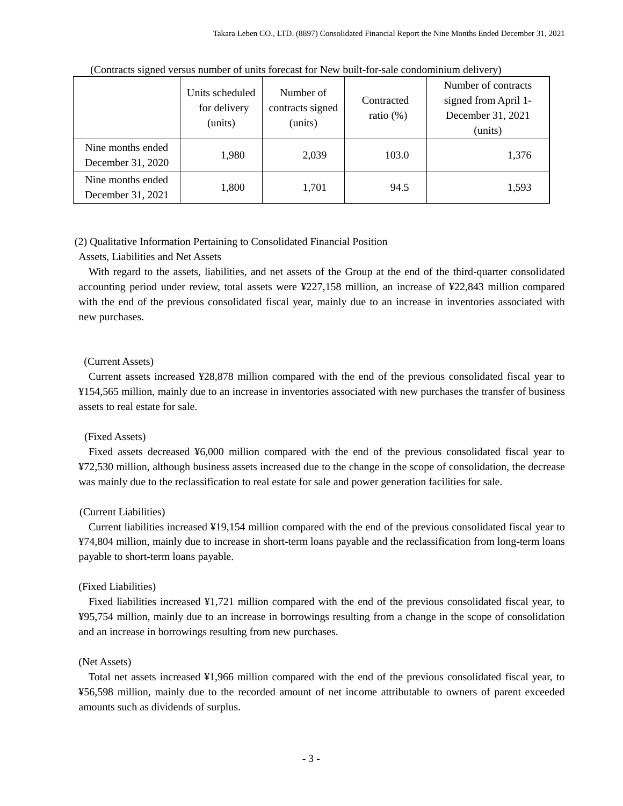|                                        | Units scheduled<br>for delivery<br>(units) | Number of<br>contracts signed<br>(units) | Contracted<br>ratio $(\%)$ | Number of contracts<br>signed from April 1-<br>December 31, 2021<br>(units) |
|----------------------------------------|--------------------------------------------|------------------------------------------|----------------------------|-----------------------------------------------------------------------------|
| Nine months ended<br>December 31, 2020 | 1,980                                      | 2,039                                    | 103.0                      | 1,376                                                                       |
| Nine months ended<br>December 31, 2021 | 1,800                                      | 1,701                                    | 94.5                       | 1,593                                                                       |

(Contracts signed versus number of units forecast for New built-for-sale condominium delivery)

## (2) Qualitative Information Pertaining to Consolidated Financial Position

### Assets, Liabilities and Net Assets

With regard to the assets, liabilities, and net assets of the Group at the end of the third-quarter consolidated accounting period under review, total assets were ¥227,158 million, an increase of ¥22,843 million compared with the end of the previous consolidated fiscal year, mainly due to an increase in inventories associated with new purchases.

#### (Current Assets)

Current assets increased ¥28,878 million compared with the end of the previous consolidated fiscal year to ¥154,565 million, mainly due to an increase in inventories associated with new purchases the transfer of business assets to real estate for sale.

#### (Fixed Assets)

Fixed assets decreased ¥6,000 million compared with the end of the previous consolidated fiscal year to ¥72,530 million, although business assets increased due to the change in the scope of consolidation, the decrease was mainly due to the reclassification to real estate for sale and power generation facilities for sale.

#### (Current Liabilities)

Current liabilities increased ¥19,154 million compared with the end of the previous consolidated fiscal year to ¥74,804 million, mainly due to increase in short-term loans payable and the reclassification from long-term loans payable to short-term loans payable.

#### (Fixed Liabilities)

Fixed liabilities increased ¥1,721 million compared with the end of the previous consolidated fiscal year, to ¥95,754 million, mainly due to an increase in borrowings resulting from a change in the scope of consolidation and an increase in borrowings resulting from new purchases.

#### (Net Assets)

Total net assets increased ¥1,966 million compared with the end of the previous consolidated fiscal year, to ¥56,598 million, mainly due to the recorded amount of net income attributable to owners of parent exceeded amounts such as dividends of surplus.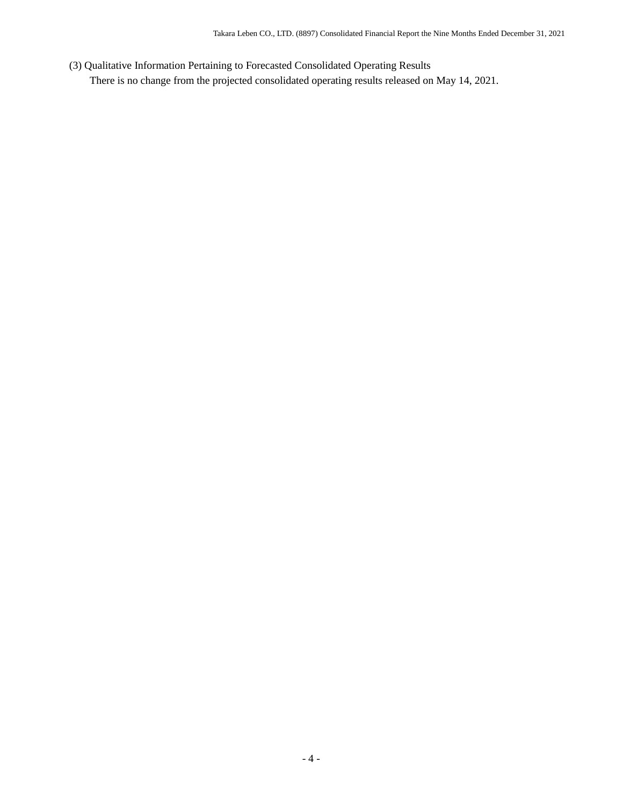(3) Qualitative Information Pertaining to Forecasted Consolidated Operating Results There is no change from the projected consolidated operating results released on May 14, 2021.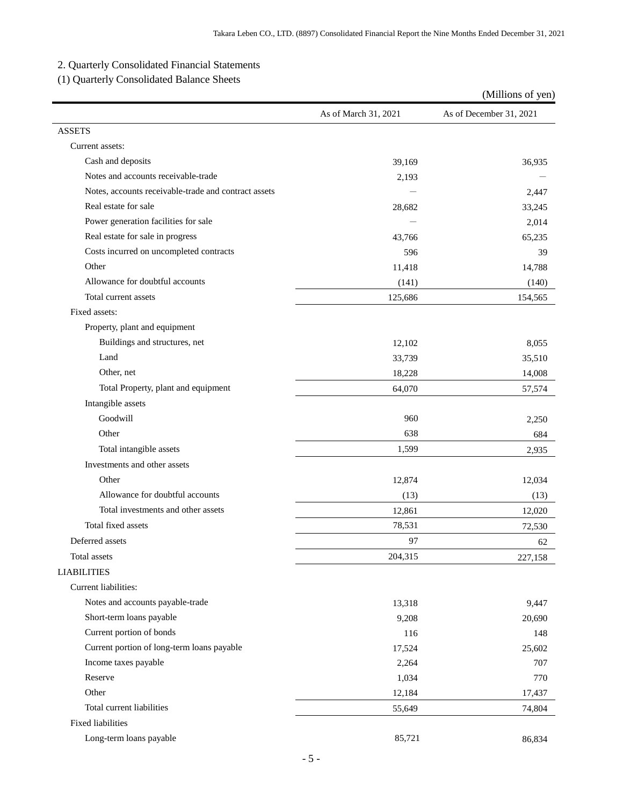# 2. Quarterly Consolidated Financial Statements

(1) Quarterly Consolidated Balance Sheets

|                                                      |                      | (Millions of yen)       |
|------------------------------------------------------|----------------------|-------------------------|
|                                                      | As of March 31, 2021 | As of December 31, 2021 |
| <b>ASSETS</b>                                        |                      |                         |
| Current assets:                                      |                      |                         |
| Cash and deposits                                    | 39,169               | 36,935                  |
| Notes and accounts receivable-trade                  | 2,193                |                         |
| Notes, accounts receivable-trade and contract assets |                      | 2,447                   |
| Real estate for sale                                 | 28,682               | 33,245                  |
| Power generation facilities for sale                 |                      | 2,014                   |
| Real estate for sale in progress                     | 43,766               | 65,235                  |
| Costs incurred on uncompleted contracts              | 596                  | 39                      |
| Other                                                | 11,418               | 14,788                  |
| Allowance for doubtful accounts                      | (141)                | (140)                   |
| Total current assets                                 | 125,686              | 154,565                 |
| Fixed assets:                                        |                      |                         |
| Property, plant and equipment                        |                      |                         |
| Buildings and structures, net                        | 12,102               | 8,055                   |
| Land                                                 | 33,739               | 35,510                  |
| Other, net                                           | 18,228               | 14,008                  |
| Total Property, plant and equipment                  | 64,070               | 57,574                  |
| Intangible assets                                    |                      |                         |
| Goodwill                                             | 960                  | 2,250                   |
| Other                                                | 638                  | 684                     |
| Total intangible assets                              | 1,599                | 2,935                   |
| Investments and other assets                         |                      |                         |
| Other                                                | 12,874               | 12,034                  |
| Allowance for doubtful accounts                      | (13)                 | (13)                    |
| Total investments and other assets                   | 12,861               | 12,020                  |
| Total fixed assets                                   | 78,531               | 72,530                  |
| Deferred assets                                      | 97                   | 62                      |
| Total assets                                         | 204,315              | 227,158                 |
| <b>LIABILITIES</b>                                   |                      |                         |
| Current liabilities:                                 |                      |                         |
| Notes and accounts payable-trade                     | 13,318               | 9,447                   |
| Short-term loans payable                             | 9,208                | 20,690                  |
| Current portion of bonds                             | 116                  | 148                     |
| Current portion of long-term loans payable           | 17,524               | 25,602                  |
| Income taxes payable                                 | 2,264                | 707                     |
| Reserve                                              | 1,034                | 770                     |
| Other                                                | 12,184               | 17,437                  |
| Total current liabilities                            | 55,649               | 74,804                  |
| <b>Fixed liabilities</b>                             |                      |                         |
| Long-term loans payable                              | 85,721               | 86,834                  |
|                                                      |                      |                         |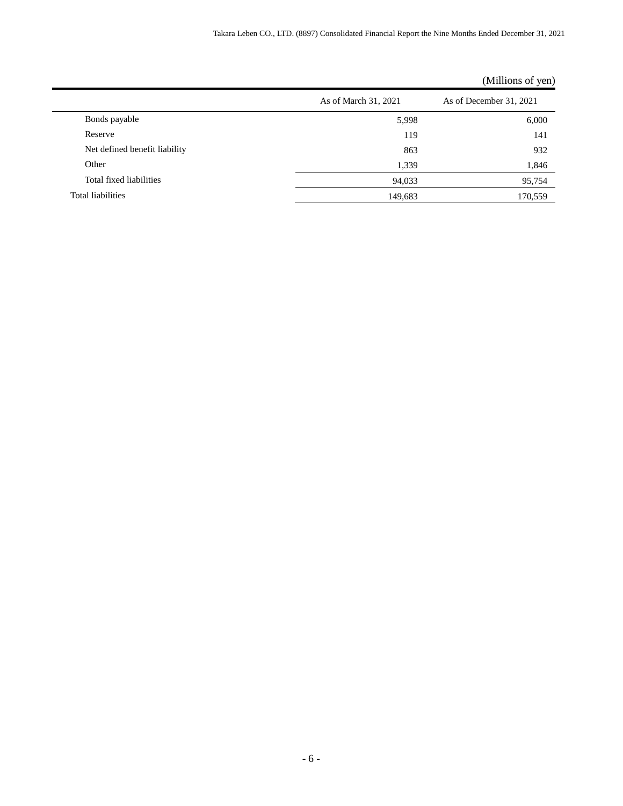|                               |                      | $($ unnons or $($ vin $)$ |
|-------------------------------|----------------------|---------------------------|
|                               | As of March 31, 2021 | As of December 31, 2021   |
| Bonds payable                 | 5,998                | 6,000                     |
| Reserve                       | 119                  | 141                       |
| Net defined benefit liability | 863                  | 932                       |
| Other                         | 1,339                | 1,846                     |
| Total fixed liabilities       | 94,033               | 95,754                    |
| Total liabilities             | 149,683              | 170,559                   |

## (Millions of yen)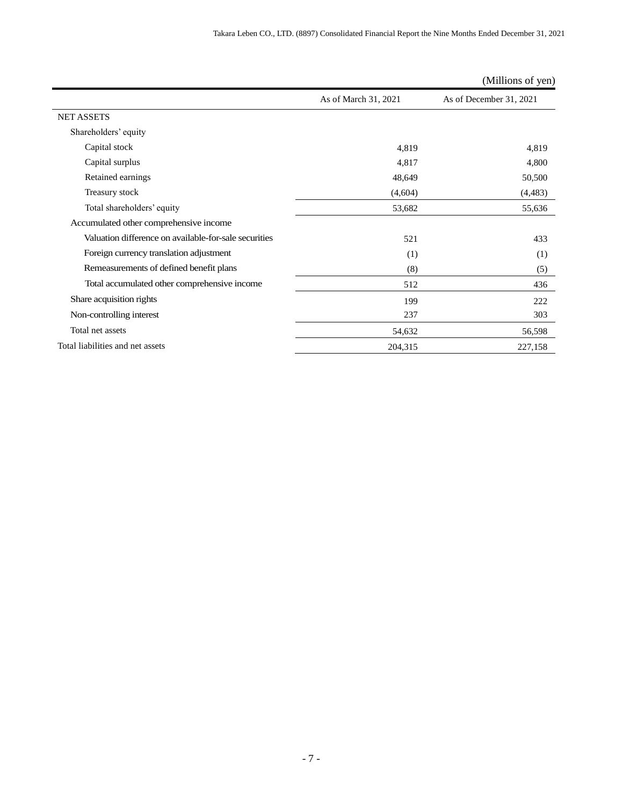|                                                       |                      | (Millions of yen)       |
|-------------------------------------------------------|----------------------|-------------------------|
|                                                       | As of March 31, 2021 | As of December 31, 2021 |
| <b>NET ASSETS</b>                                     |                      |                         |
| Shareholders' equity                                  |                      |                         |
| Capital stock                                         | 4,819                | 4,819                   |
| Capital surplus                                       | 4,817                | 4,800                   |
| Retained earnings                                     | 48,649               | 50,500                  |
| Treasury stock                                        | (4,604)              | (4, 483)                |
| Total shareholders' equity                            | 53,682               | 55,636                  |
| Accumulated other comprehensive income                |                      |                         |
| Valuation difference on available-for-sale securities | 521                  | 433                     |
| Foreign currency translation adjustment               | (1)                  | (1)                     |
| Remeasurements of defined benefit plans               | (8)                  | (5)                     |
| Total accumulated other comprehensive income          | 512                  | 436                     |
| Share acquisition rights                              | 199                  | 222                     |
| Non-controlling interest                              | 237                  | 303                     |
| Total net assets                                      | 54,632               | 56,598                  |
| Total liabilities and net assets                      | 204,315              | 227,158                 |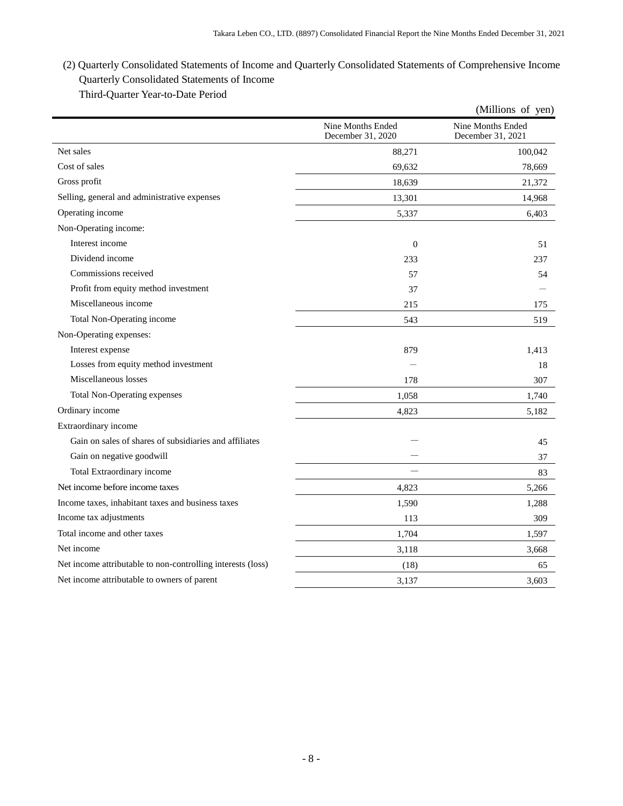# (2) Quarterly Consolidated Statements of Income and Quarterly Consolidated Statements of Comprehensive Income Quarterly Consolidated Statements of Income Third-Quarter Year-to-Date Period

|                                                             |                                        | (Millions of yen)                      |
|-------------------------------------------------------------|----------------------------------------|----------------------------------------|
|                                                             | Nine Months Ended<br>December 31, 2020 | Nine Months Ended<br>December 31, 2021 |
| Net sales                                                   | 88,271                                 | 100,042                                |
| Cost of sales                                               | 69,632                                 | 78,669                                 |
| Gross profit                                                | 18,639                                 | 21,372                                 |
| Selling, general and administrative expenses                | 13,301                                 | 14,968                                 |
| Operating income                                            | 5,337                                  | 6,403                                  |
| Non-Operating income:                                       |                                        |                                        |
| Interest income                                             | $\Omega$                               | 51                                     |
| Dividend income                                             | 233                                    | 237                                    |
| Commissions received                                        | 57                                     | 54                                     |
| Profit from equity method investment                        | 37                                     |                                        |
| Miscellaneous income                                        | 215                                    | 175                                    |
| Total Non-Operating income                                  | 543                                    | 519                                    |
| Non-Operating expenses:                                     |                                        |                                        |
| Interest expense                                            | 879                                    | 1,413                                  |
| Losses from equity method investment                        |                                        | 18                                     |
| Miscellaneous losses                                        | 178                                    | 307                                    |
| Total Non-Operating expenses                                | 1,058                                  | 1,740                                  |
| Ordinary income                                             | 4,823                                  | 5,182                                  |
| Extraordinary income                                        |                                        |                                        |
| Gain on sales of shares of subsidiaries and affiliates      |                                        | 45                                     |
| Gain on negative goodwill                                   |                                        | 37                                     |
| Total Extraordinary income                                  |                                        | 83                                     |
| Net income before income taxes                              | 4,823                                  | 5,266                                  |
| Income taxes, inhabitant taxes and business taxes           | 1,590                                  | 1,288                                  |
| Income tax adjustments                                      | 113                                    | 309                                    |
| Total income and other taxes                                | 1,704                                  | 1,597                                  |
| Net income                                                  | 3,118                                  | 3,668                                  |
| Net income attributable to non-controlling interests (loss) | (18)                                   | 65                                     |
| Net income attributable to owners of parent                 | 3,137                                  | 3,603                                  |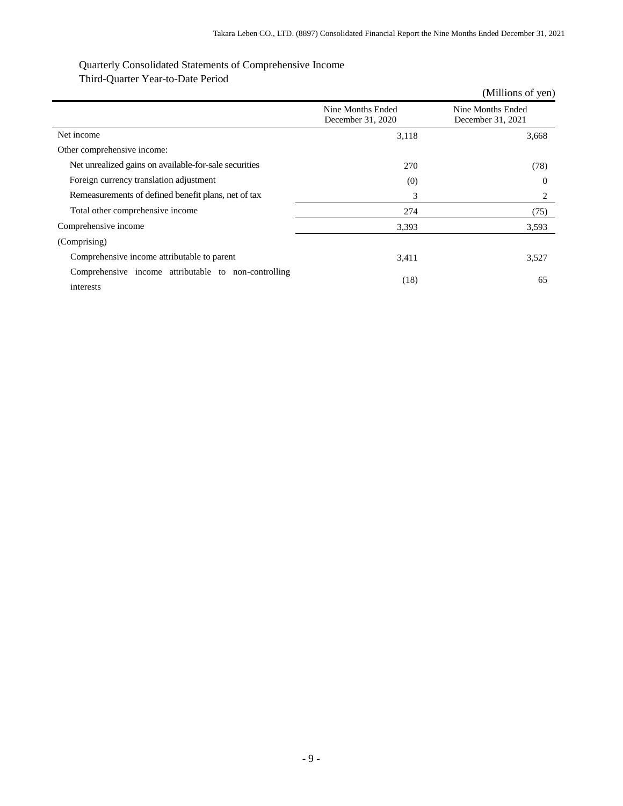## Quarterly Consolidated Statements of Comprehensive Income Third-Quarter Year-to-Date Period

|                                                                   |                                        | (Millions of yen)                      |
|-------------------------------------------------------------------|----------------------------------------|----------------------------------------|
|                                                                   | Nine Months Ended<br>December 31, 2020 | Nine Months Ended<br>December 31, 2021 |
| Net income                                                        | 3,118                                  | 3,668                                  |
| Other comprehensive income:                                       |                                        |                                        |
| Net unrealized gains on available-for-sale securities             | 270                                    | (78)                                   |
| Foreign currency translation adjustment                           | (0)                                    | $\Omega$                               |
| Remeasurements of defined benefit plans, net of tax               | 3                                      | 2                                      |
| Total other comprehensive income                                  | 274                                    | (75)                                   |
| Comprehensive income                                              | 3,393                                  | 3,593                                  |
| (Comprising)                                                      |                                        |                                        |
| Comprehensive income attributable to parent                       | 3,411                                  | 3,527                                  |
| Comprehensive income attributable to non-controlling<br>interests | (18)                                   | 65                                     |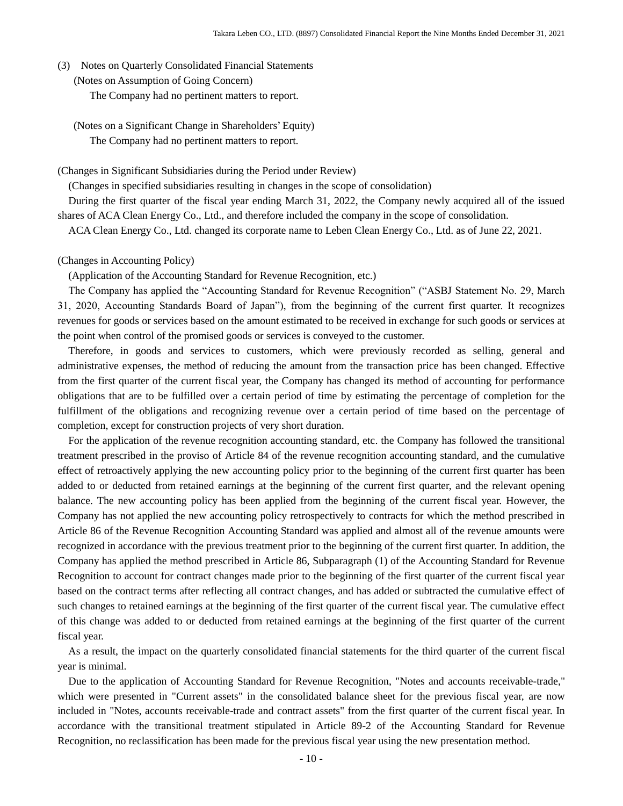- (3) Notes on Quarterly Consolidated Financial Statements
	- (Notes on Assumption of Going Concern) The Company had no pertinent matters to report.
		- (Notes on a Significant Change in Shareholders' Equity) The Company had no pertinent matters to report.

(Changes in Significant Subsidiaries during the Period under Review)

(Changes in specified subsidiaries resulting in changes in the scope of consolidation)

During the first quarter of the fiscal year ending March 31, 2022, the Company newly acquired all of the issued shares of ACA Clean Energy Co., Ltd., and therefore included the company in the scope of consolidation.

ACA Clean Energy Co., Ltd. changed its corporate name to Leben Clean Energy Co., Ltd. as of June 22, 2021.

#### (Changes in Accounting Policy)

(Application of the Accounting Standard for Revenue Recognition, etc.)

The Company has applied the "Accounting Standard for Revenue Recognition" ("ASBJ Statement No. 29, March 31, 2020, Accounting Standards Board of Japan"), from the beginning of the current first quarter. It recognizes revenues for goods or services based on the amount estimated to be received in exchange for such goods or services at the point when control of the promised goods or services is conveyed to the customer.

Therefore, in goods and services to customers, which were previously recorded as selling, general and administrative expenses, the method of reducing the amount from the transaction price has been changed. Effective from the first quarter of the current fiscal year, the Company has changed its method of accounting for performance obligations that are to be fulfilled over a certain period of time by estimating the percentage of completion for the fulfillment of the obligations and recognizing revenue over a certain period of time based on the percentage of completion, except for construction projects of very short duration.

For the application of the revenue recognition accounting standard, etc. the Company has followed the transitional treatment prescribed in the proviso of Article 84 of the revenue recognition accounting standard, and the cumulative effect of retroactively applying the new accounting policy prior to the beginning of the current first quarter has been added to or deducted from retained earnings at the beginning of the current first quarter, and the relevant opening balance. The new accounting policy has been applied from the beginning of the current fiscal year. However, the Company has not applied the new accounting policy retrospectively to contracts for which the method prescribed in Article 86 of the Revenue Recognition Accounting Standard was applied and almost all of the revenue amounts were recognized in accordance with the previous treatment prior to the beginning of the current first quarter. In addition, the Company has applied the method prescribed in Article 86, Subparagraph (1) of the Accounting Standard for Revenue Recognition to account for contract changes made prior to the beginning of the first quarter of the current fiscal year based on the contract terms after reflecting all contract changes, and has added or subtracted the cumulative effect of such changes to retained earnings at the beginning of the first quarter of the current fiscal year. The cumulative effect of this change was added to or deducted from retained earnings at the beginning of the first quarter of the current fiscal year.

As a result, the impact on the quarterly consolidated financial statements for the third quarter of the current fiscal year is minimal.

Due to the application of Accounting Standard for Revenue Recognition, "Notes and accounts receivable-trade," which were presented in "Current assets" in the consolidated balance sheet for the previous fiscal year, are now included in "Notes, accounts receivable-trade and contract assets" from the first quarter of the current fiscal year. In accordance with the transitional treatment stipulated in Article 89-2 of the Accounting Standard for Revenue Recognition, no reclassification has been made for the previous fiscal year using the new presentation method.